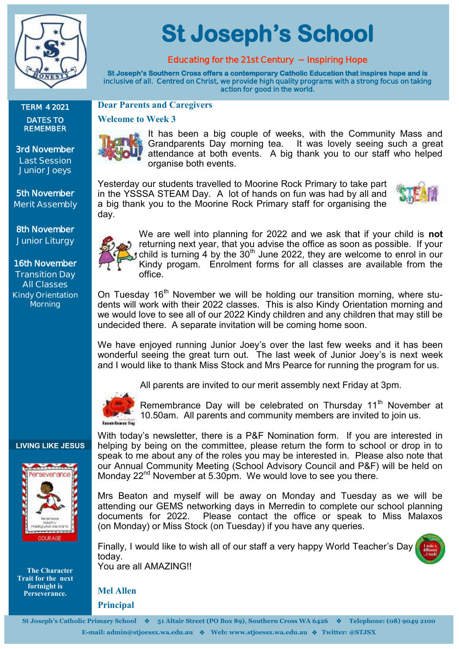

**TERM 4 2021 DATES TO REMEMBER**

**3rd November Last Session Junior Joeys**

**5th November Merit Assembly**

**8th November Junior Liturgy**

**16th November Transition Day All Classes Kindy Orientation Morning**

#### **LIVING LIKE JESUS**



 **The Character Trait for the next fortnight is Perseverance.**

# **St Joseph's School**

## **Educating for the 21st Century ~ Inspiring Hope**

**St Joseph's Southern Cross offers a contemporary Catholic Education that inspires hope and is inclusive of all. Centred on Christ, we provide high quality programs with a strong focus on taking action for good in the world.** 

#### **Dear Parents and Caregivers**

#### **Welcome to Week 3**



It has been a big couple of weeks, with the Community Mass and Grandparents Day morning tea. It was lovely seeing such a great attendance at both events. A big thank you to our staff who helped organise both events.

Yesterday our students travelled to Moorine Rock Primary to take part in the YSSSA STEAM Day. A lot of hands on fun was had by all and a big thank you to the Moorine Rock Primary staff for organising the day.



We are well into planning for 2022 and we ask that if your child is **not**  returning next year, that you advise the office as soon as possible. If your child is turning 4 by the  $30<sup>th</sup>$  June 2022, they are welcome to enrol in our Kindy progam. Enrolment forms for all classes are available from the office.

On Tuesday 16<sup>th</sup> November we will be holding our transition morning, where students will work with their 2022 classes. This is also Kindy Orientation morning and we would love to see all of our 2022 Kindy children and any children that may still be undecided there. A separate invitation will be coming home soon.

We have enjoyed running Junior Joey's over the last few weeks and it has been wonderful seeing the great turn out. The last week of Junior Joey's is next week and I would like to thank Miss Stock and Mrs Pearce for running the program for us.



All parents are invited to our merit assembly next Friday at 3pm.



Remembrance Day will be celebrated on Thursday  $11<sup>th</sup>$  November at 10.50am. All parents and community members are invited to join us.

With today's newsletter, there is a P&F Nomination form. If you are interested in helping by being on the committee, please return the form to school or drop in to speak to me about any of the roles you may be interested in. Please also note that our Annual Community Meeting (School Advisory Council and P&F) will be held on Monday 22<sup>nd</sup> November at 5.30pm. We would love to see you there.

Mrs Beaton and myself will be away on Monday and Tuesday as we will be attending our GEMS networking days in Merredin to complete our school planning documents for 2022. Please contact the office or speak to Miss Malaxos (on Monday) or Miss Stock (on Tuesday) if you have any queries.

Finally, I would like to wish all of our staff a very happy World Teacher's Day today. You are all AMAZING!!



**Mel Allen** 

**Principal**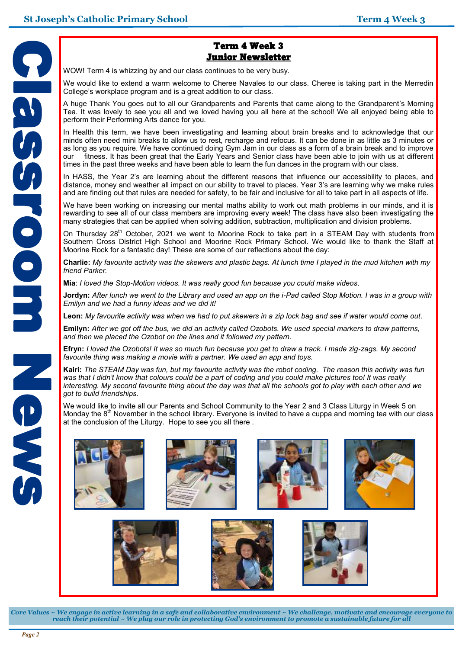

#### Term 4 Week 3 Junior Newsletter

WOW! Term 4 is whizzing by and our class continues to be very busy.

We would like to extend a warm welcome to Cheree Navales to our class. Cheree is taking part in the Merredin College's workplace program and is a great addition to our class.

A huge Thank You goes out to all our Grandparents and Parents that came along to the Grandparent's Morning Tea. It was lovely to see you all and we loved having you all here at the school! We all enjoyed being able to perform their Performing Arts dance for you.

In Health this term, we have been investigating and learning about brain breaks and to acknowledge that our minds often need mini breaks to allow us to rest, recharge and refocus. It can be done in as little as 3 minutes or as long as you require. We have continued doing Gym Jam in our class as a form of a brain break and to improve our fitness. It has been great that the Early Years and Senior class have been able to join with us at different times in the past three weeks and have been able to learn the fun dances in the program with our class.

In HASS, the Year 2's are learning about the different reasons that influence our accessibility to places, and distance, money and weather all impact on our ability to travel to places. Year 3's are learning why we make rules and are finding out that rules are needed for safety, to be fair and inclusive for all to take part in all aspects of life.

We have been working on increasing our mental maths ability to work out math problems in our minds, and it is rewarding to see all of our class members are improving every week! The class have also been investigating the many strategies that can be applied when solving addition, subtraction, multiplication and division problems.

On Thursday 28<sup>th</sup> October, 2021 we went to Moorine Rock to take part in a STEAM Day with students from Southern Cross District High School and Moorine Rock Primary School. We would like to thank the Staff at Moorine Rock for a fantastic day! These are some of our reflections about the day:

**Charlie:** *My favourite activity was the skewers and plastic bags. At lunch time I played in the mud kitchen with my friend Parker.*

**Mia**: *I loved the Stop-Motion videos. It was really good fun because you could make videos*.

**Jordyn:** *After lunch we went to the Library and used an app on the i-Pad called Stop Motion. I was in a group with Emilyn and we had a funny ideas and we did it!*

**Leon:** *My favourite activity was when we had to put skewers in a zip lock bag and see if water would come out*.

**Emilyn:** *After we got off the bus, we did an activity called Ozobots. We used special markers to draw patterns, and then we placed the Ozobot on the lines and it followed my pattern.*

**Efryn:** *I loved the Ozobots! It was so much fun because you get to draw a track. I made zig-zags. My second favourite thing was making a movie with a partner. We used an app and toys.*

**Kairi:** *The STEAM Day was fun, but my favourite activity was the robot coding. The reason this activity was fun was that I didn't know that colours could be a part of coding and you could make pictures too! It was really interesting. My second favourite thing about the day was that all the schools got to play with each other and we got to build friendships.* 

We would like to invite all our Parents and School Community to the Year 2 and 3 Class Liturgy in Week 5 on Monday the  $8<sup>th</sup>$  November in the school library. Everyone is invited to have a cuppa and morning tea with our class at the conclusion of the Liturgy. Hope to see you all there .









*Core Values ~ We engage in active learning in a safe and collaborative environment ~ We challenge, motivate and encourage everyone to reach their potential ~ We play our role in protecting God's environment to promote a sustainable future for all*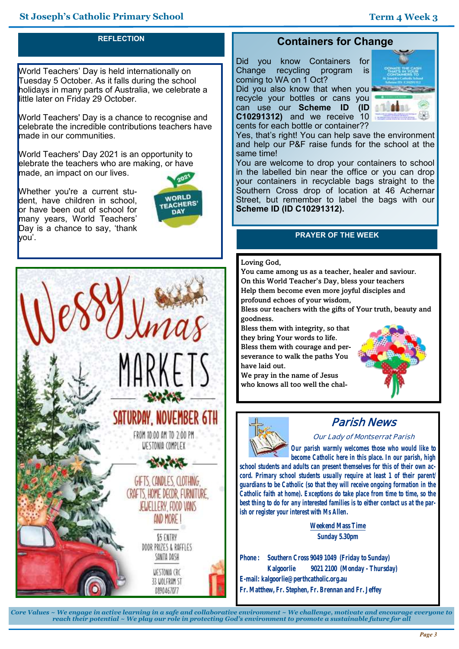### **REFLECTION**

World Teachers' Day is held internationally on Tuesday 5 October. As it falls during the school holidays in many parts of Australia, we celebrate a little later on Friday 29 October.

World Teachers' Day is a chance to recognise and celebrate the incredible contributions teachers have made in our communities.

World Teachers' Day 2021 is an opportunity to elebrate the teachers who are making, or have made, an impact on our lives.

Whether you're a current student, have children in school. or have been out of school for many years, World Teachers' Day is a chance to say, 'thank you'.





### **Containers for Change**

Did you know Containers for<br>Change recycling program is Change recycling program is coming to WA on 1 Oct?

Did you also know that when you recycle your bottles or cans you can use our **Scheme ID (ID C10291312)** and we receive 10 cents for each bottle or container??



Yes, that's right! You can help save the environment and help our P&F raise funds for the school at the same time!

You are welcome to drop your containers to school in the labelled bin near the office or you can drop your containers in recyclable bags straight to the Southern Cross drop of location at 46 Achernar Street, but remember to label the bags with our **Scheme ID (ID C10291312).**

#### **PRAYER OF THE WEEK**

#### Loving God,

You came among us as a teacher, healer and saviour. On this World Teacher's Day, bless your teachers Help them become even more joyful disciples and profound echoes of your wisdom,

Bless our teachers with the gifts of Your truth, beauty and goodness.

Bless them with integrity, so that they bring Your words to life. Bless them with courage and perseverance to walk the paths You have laid out.

We pray in the name of Jesus who knows all too well the chal-





# **Parish News**

#### **Our Lady of Montserrat Parish**

*Our parish warmly welcomes those who would like to become Catholic here in this place. In our parish, high* 

*school students and adults can present themselves for this of their own accord. Primary school students usually require at least 1 of their parent/ guardians to be Catholic (so that they will receive ongoing formation in the Catholic faith at home). Exceptions do take place from time to time, so the best thing to do for any interested families is to either contact us at the parish or register your interest with Ms Allen.*

> **Weekend Mass Time Sunday 5.30pm**

**Phone : Southern Cross 9049 1049 (Friday to Sunday) Kalgoorlie 9021 2100 (Monday - Thursday) E-mail: kalgoorlie@perthcatholic.org.au Fr. Matthew, Fr. Stephen, Fr. Brennan and Fr. Jeffey**

*Core Values ~ We engage in active learning in a safe and collaborative environment ~ We challenge, motivate and encourage everyone to reach their potential ~ We play our role in protecting God's environment to promote a sustainable future for all*